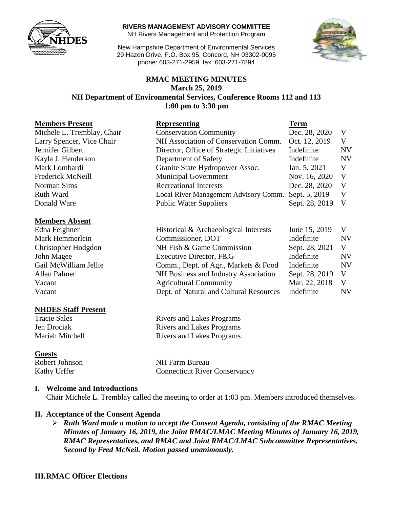

**RIVERS MANAGEMENT ADVISORY COMMITTEE**

NH Rivers Management and Protection Program

New Hampshire Department of Environmental Services 29 Hazen Drive, P.O. Box 95, Concord, NH 03302-0095 phone: 603-271-2959 fax: 603-271-7894



#### **RMAC MEETING MINUTES March 25, 2019 NH Department of Environmental Services, Conference Rooms 112 and 113 1:00 pm to 3:30 pm**

| <b>Members Present</b>     | <b>Representing</b>                       | <b>Term</b>    |           |
|----------------------------|-------------------------------------------|----------------|-----------|
| Michele L. Tremblay, Chair | <b>Conservation Community</b>             | Dec. 28, 2020  | V         |
| Larry Spencer, Vice Chair  | NH Association of Conservation Comm.      | Oct. 12, 2019  | V         |
| Jennifer Gilbert           | Director, Office of Strategic Initiatives | Indefinite     | <b>NV</b> |
| Kayla J. Henderson         | Department of Safety                      | Indefinite     | <b>NV</b> |
| Mark Lombardi              | Granite State Hydropower Assoc.           | Jan. 5, 2021   | V         |
| Frederick McNeill          | <b>Municipal Government</b>               | Nov. 16, 2020  | V         |
| Norman Sims                | <b>Recreational Interests</b>             | Dec. 28, 2020  | V         |
| Ruth Ward                  | Local River Management Advisory Comm.     | Sept. 5, 2019  | V         |
| Donald Ware                | <b>Public Water Suppliers</b>             | Sept. 28, 2019 | V         |
|                            |                                           |                |           |
| <b>Members Absent</b>      |                                           |                |           |
| Edna Feighner              | Historical & Archaeological Interests     | June 15, 2019  | V         |
| Mark Hemmerlein            | Commissioner, DOT                         | Indefinite     | <b>NV</b> |
| Christopher Hodgdon        | NH Fish & Game Commission                 | Sept. 28, 2021 | V         |
| John Magee                 | Executive Director, F&G                   | Indefinite     | <b>NV</b> |
| Gail McWilliam Jellie      | Comm., Dept. of Agr., Markets & Food      | Indefinite     | <b>NV</b> |
| Allan Palmer               | NH Business and Industry Association      | Sept. 28, 2019 | V         |
| Vacant                     | <b>Agricultural Community</b>             | Mar. 22, 2018  | V         |
| Vacant                     | Dept. of Natural and Cultural Resources   | Indefinite     | <b>NV</b> |
| <b>NHDES Staff Present</b> |                                           |                |           |

Tracie Sales Rivers and Lakes Programs Jen Drociak Rivers and Lakes Programs Mariah Mitchell Rivers and Lakes Programs

#### **Guests**

Robert Johnson NH Farm Bureau Kathy Urffer Connecticut River Conservancy

#### **I. Welcome and Introductions**

Chair Michele L. Tremblay called the meeting to order at 1:03 pm. Members introduced themselves.

#### **II. Acceptance of the Consent Agenda**

 *Ruth Ward made a motion to accept the Consent Agenda, consisting of the RMAC Meeting Minutes of January 16, 2019, the Joint RMAC/LMAC Meeting Minutes of January 16, 2019, RMAC Representatives, and RMAC and Joint RMAC/LMAC Subcommittee Representatives. Second by Fred McNeil. Motion passed unanimously.*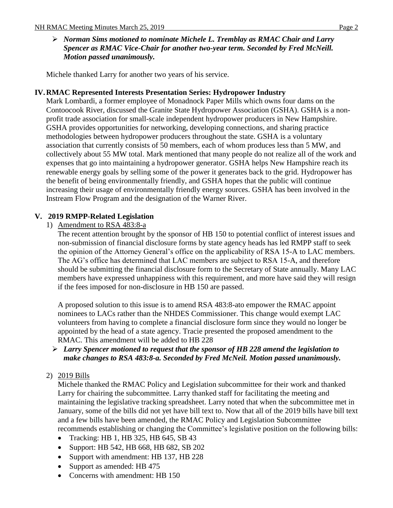## *Norman Sims motioned to nominate Michele L. Tremblay as RMAC Chair and Larry Spencer as RMAC Vice-Chair for another two-year term. Seconded by Fred McNeill. Motion passed unanimously.*

Michele thanked Larry for another two years of his service.

## **IV.RMAC Represented Interests Presentation Series: Hydropower Industry**

Mark Lombardi, a former employee of Monadnock Paper Mills which owns four dams on the Contoocook River, discussed the Granite State Hydropower Association (GSHA). GSHA is a nonprofit trade association for small-scale independent hydropower producers in New Hampshire. GSHA provides opportunities for networking, developing connections, and sharing practice methodologies between hydropower producers throughout the state. GSHA is a voluntary association that currently consists of 50 members, each of whom produces less than 5 MW, and collectively about 55 MW total. Mark mentioned that many people do not realize all of the work and expenses that go into maintaining a hydropower generator. GSHA helps New Hampshire reach its renewable energy goals by selling some of the power it generates back to the grid. Hydropower has the benefit of being environmentally friendly, and GSHA hopes that the public will continue increasing their usage of environmentally friendly energy sources. GSHA has been involved in the Instream Flow Program and the designation of the Warner River.

## **V. 2019 RMPP-Related Legislation**

1) Amendment to RSA 483:8-a

The recent attention brought by the sponsor of HB 150 to potential conflict of interest issues and non-submission of financial disclosure forms by state agency heads has led RMPP staff to seek the opinion of the Attorney General's office on the applicability of RSA 15-A to LAC members. The AG's office has determined that LAC members are subject to RSA 15-A, and therefore should be submitting the financial disclosure form to the Secretary of State annually. Many LAC members have expressed unhappiness with this requirement, and more have said they will resign if the fees imposed for non-disclosure in HB 150 are passed.

A proposed solution to this issue is to amend RSA 483:8-ato empower the RMAC appoint nominees to LACs rather than the NHDES Commissioner. This change would exempt LAC volunteers from having to complete a financial disclosure form since they would no longer be appointed by the head of a state agency. Tracie presented the proposed amendment to the RMAC. This amendment will be added to HB 228

#### *Larry Spencer motioned to request that the sponsor of HB 228 amend the legislation to make changes to RSA 483:8-a. Seconded by Fred McNeil. Motion passed unanimously.*

#### 2) 2019 Bills

Michele thanked the RMAC Policy and Legislation subcommittee for their work and thanked Larry for chairing the subcommittee. Larry thanked staff for facilitating the meeting and maintaining the legislative tracking spreadsheet. Larry noted that when the subcommittee met in January, some of the bills did not yet have bill text to. Now that all of the 2019 bills have bill text and a few bills have been amended, the RMAC Policy and Legislation Subcommittee recommends establishing or changing the Committee's legislative position on the following bills:

- Tracking: HB 1, HB 325, HB 645, SB 43
- Support: HB 542, HB 668, HB 682, SB 202
- Support with amendment: HB 137, HB 228
- Support as amended: HB 475
- Concerns with amendment: HB 150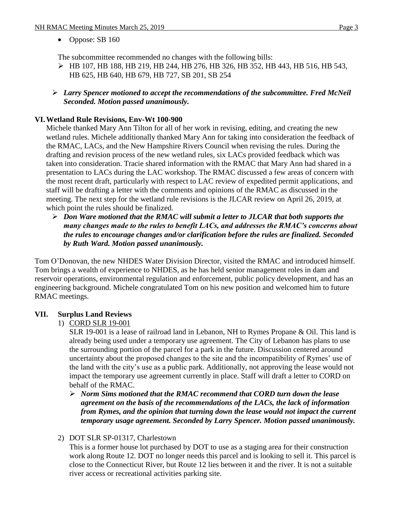• Oppose: SB 160

The subcommittee recommended no changes with the following bills:

- HB 107, HB 188, HB 219, HB 244, HB 276, HB 326, HB 352, HB 443, HB 516, HB 543, HB 625, HB 640, HB 679, HB 727, SB 201, SB 254
- *Larry Spencer motioned to accept the recommendations of the subcommittee. Fred McNeil Seconded. Motion passed unanimously.*

## **VI.Wetland Rule Revisions, Env-Wt 100-900**

Michele thanked Mary Ann Tilton for all of her work in revising, editing, and creating the new wetland rules. Michele additionally thanked Mary Ann for taking into consideration the feedback of the RMAC, LACs, and the New Hampshire Rivers Council when revising the rules. During the drafting and revision process of the new wetland rules, six LACs provided feedback which was taken into consideration. Tracie shared information with the RMAC that Mary Ann had shared in a presentation to LACs during the LAC workshop. The RMAC discussed a few areas of concern with the most recent draft, particularly with respect to LAC review of expedited permit applications, and staff will be drafting a letter with the comments and opinions of the RMAC as discussed in the meeting. The next step for the wetland rule revisions is the JLCAR review on April 26, 2019, at which point the rules should be finalized.

 *Don Ware motioned that the RMAC will submit a letter to JLCAR that both supports the many changes made to the rules to benefit LACs, and addresses the RMAC's concerns about the rules to encourage changes and/or clarification before the rules are finalized. Seconded by Ruth Ward. Motion passed unanimously.*

Tom O'Donovan, the new NHDES Water Division Director, visited the RMAC and introduced himself. Tom brings a wealth of experience to NHDES, as he has held senior management roles in dam and reservoir operations, environmental regulation and enforcement, public policy development, and has an engineering background. Michele congratulated Tom on his new position and welcomed him to future RMAC meetings.

# **VII. Surplus Land Reviews**

# 1) CORD SLR 19-001

SLR 19-001 is a lease of railroad land in Lebanon, NH to Rymes Propane & Oil. This land is already being used under a temporary use agreement. The City of Lebanon has plans to use the surrounding portion of the parcel for a park in the future. Discussion centered around uncertainty about the proposed changes to the site and the incompatibility of Rymes' use of the land with the city's use as a public park. Additionally, not approving the lease would not impact the temporary use agreement currently in place. Staff will draft a letter to CORD on behalf of the RMAC.

 *Norm Sims motioned that the RMAC recommend that CORD turn down the lease agreement on the basis of the recommendations of the LACs, the lack of information from Rymes, and the opinion that turning down the lease would not impact the current temporary usage agreement. Seconded by Larry Spencer. Motion passed unanimously.* 

#### 2) DOT SLR SP-01317, Charlestown

This is a former house lot purchased by DOT to use as a staging area for their construction work along Route 12. DOT no longer needs this parcel and is looking to sell it. This parcel is close to the Connecticut River, but Route 12 lies between it and the river. It is not a suitable river access or recreational activities parking site.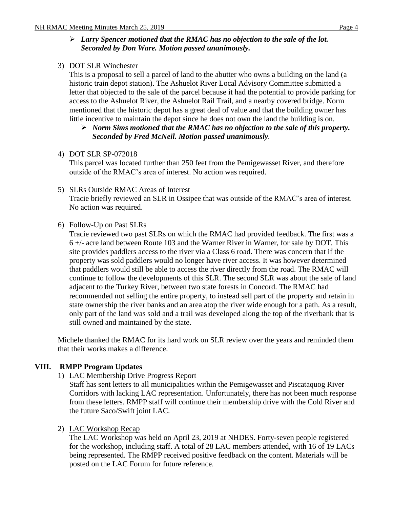## *Larry Spencer motioned that the RMAC has no objection to the sale of the lot. Seconded by Don Ware. Motion passed unanimously.*

3) DOT SLR Winchester

This is a proposal to sell a parcel of land to the abutter who owns a building on the land (a historic train depot station). The Ashuelot River Local Advisory Committee submitted a letter that objected to the sale of the parcel because it had the potential to provide parking for access to the Ashuelot River, the Ashuelot Rail Trail, and a nearby covered bridge. Norm mentioned that the historic depot has a great deal of value and that the building owner has little incentive to maintain the depot since he does not own the land the building is on.

## *Norm Sims motioned that the RMAC has no objection to the sale of this property. Seconded by Fred McNeil. Motion passed unanimously.*

## 4) DOT SLR SP-072018

This parcel was located further than 250 feet from the Pemigewasset River, and therefore outside of the RMAC's area of interest. No action was required.

- 5) SLRs Outside RMAC Areas of Interest Tracie briefly reviewed an SLR in Ossipee that was outside of the RMAC's area of interest. No action was required.
- 6) Follow-Up on Past SLRs

Tracie reviewed two past SLRs on which the RMAC had provided feedback. The first was a 6 +/- acre land between Route 103 and the Warner River in Warner, for sale by DOT. This site provides paddlers access to the river via a Class 6 road. There was concern that if the property was sold paddlers would no longer have river access. It was however determined that paddlers would still be able to access the river directly from the road. The RMAC will continue to follow the developments of this SLR. The second SLR was about the sale of land adjacent to the Turkey River, between two state forests in Concord. The RMAC had recommended not selling the entire property, to instead sell part of the property and retain in state ownership the river banks and an area atop the river wide enough for a path. As a result, only part of the land was sold and a trail was developed along the top of the riverbank that is still owned and maintained by the state.

Michele thanked the RMAC for its hard work on SLR review over the years and reminded them that their works makes a difference.

# **VIII. RMPP Program Updates**

1) LAC Membership Drive Progress Report

Staff has sent letters to all municipalities within the Pemigewasset and Piscataquog River Corridors with lacking LAC representation. Unfortunately, there has not been much response from these letters. RMPP staff will continue their membership drive with the Cold River and the future Saco/Swift joint LAC.

# 2) LAC Workshop Recap

The LAC Workshop was held on April 23, 2019 at NHDES. Forty-seven people registered for the workshop, including staff. A total of 28 LAC members attended, with 16 of 19 LACs being represented. The RMPP received positive feedback on the content. Materials will be posted on the LAC Forum for future reference.